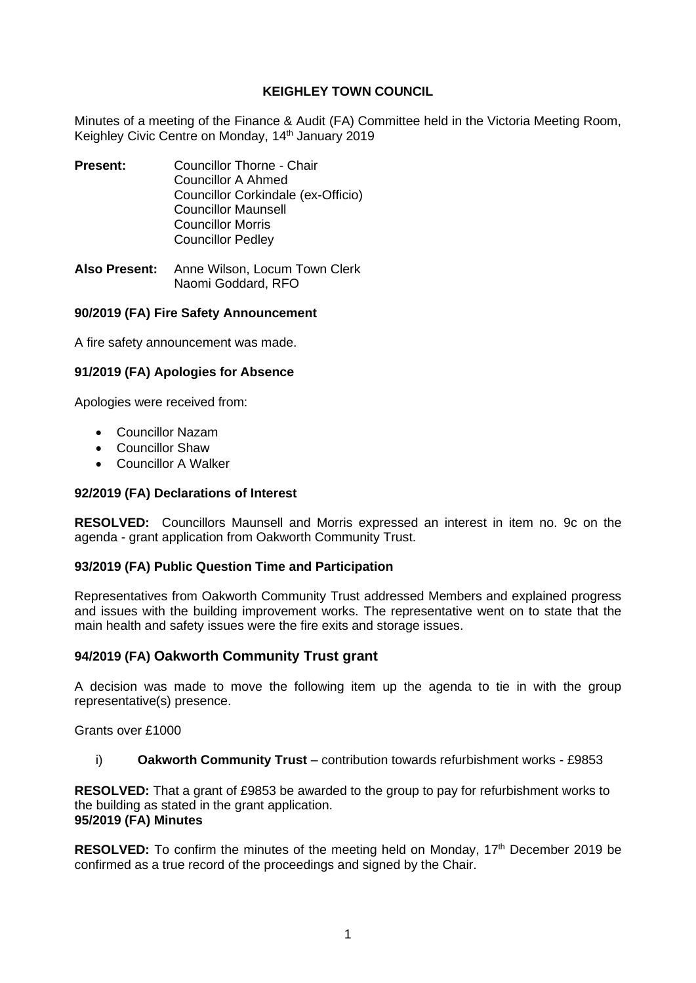# **KEIGHLEY TOWN COUNCIL**

Minutes of a meeting of the Finance & Audit (FA) Committee held in the Victoria Meeting Room, Keighley Civic Centre on Monday, 14<sup>th</sup> January 2019

- **Present:** Councillor Thorne Chair Councillor A Ahmed Councillor Corkindale (ex-Officio) Councillor Maunsell Councillor Morris Councillor Pedley
- **Also Present:** Anne Wilson, Locum Town Clerk Naomi Goddard, RFO

# **90/2019 (FA) Fire Safety Announcement**

A fire safety announcement was made.

# **91/2019 (FA) Apologies for Absence**

Apologies were received from:

- Councillor Nazam
- Councillor Shaw
- Councillor A Walker

### **92/2019 (FA) Declarations of Interest**

**RESOLVED:** Councillors Maunsell and Morris expressed an interest in item no. 9c on the agenda - grant application from Oakworth Community Trust.

### **93/2019 (FA) Public Question Time and Participation**

Representatives from Oakworth Community Trust addressed Members and explained progress and issues with the building improvement works. The representative went on to state that the main health and safety issues were the fire exits and storage issues.

# **94/2019 (FA) Oakworth Community Trust grant**

A decision was made to move the following item up the agenda to tie in with the group representative(s) presence.

Grants over £1000

i) **Oakworth Community Trust** – contribution towards refurbishment works - £9853

**RESOLVED:** That a grant of £9853 be awarded to the group to pay for refurbishment works to the building as stated in the grant application. **95/2019 (FA) Minutes**

**RESOLVED:** To confirm the minutes of the meeting held on Monday, 17<sup>th</sup> December 2019 be confirmed as a true record of the proceedings and signed by the Chair.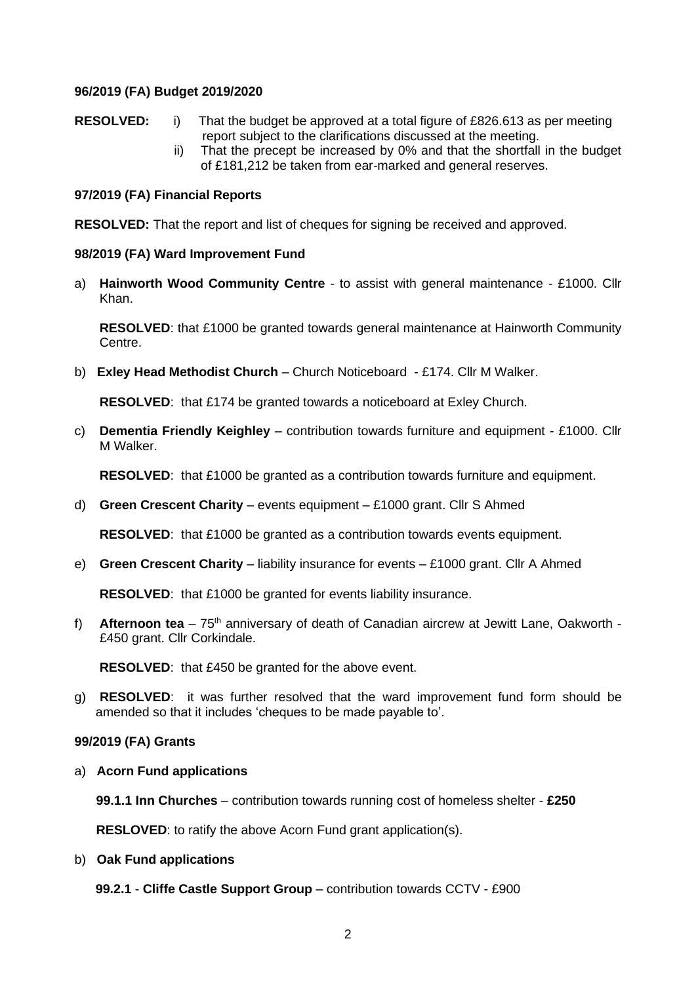# **96/2019 (FA) Budget 2019/2020**

- **RESOLVED:** i) That the budget be approved at a total figure of £826.613 as per meeting report subject to the clarifications discussed at the meeting.
	- ii) That the precept be increased by 0% and that the shortfall in the budget of £181,212 be taken from ear-marked and general reserves.

# **97/2019 (FA) Financial Reports**

**RESOLVED:** That the report and list of cheques for signing be received and approved.

# **98/2019 (FA) Ward Improvement Fund**

a) **Hainworth Wood Community Centre** - to assist with general maintenance - £1000. Cllr Khan.

**RESOLVED**: that £1000 be granted towards general maintenance at Hainworth Community Centre.

b) **Exley Head Methodist Church** – Church Noticeboard - £174. Cllr M Walker.

**RESOLVED**: that £174 be granted towards a noticeboard at Exley Church.

c) **Dementia Friendly Keighley** – contribution towards furniture and equipment - £1000. Cllr M Walker.

**RESOLVED**: that £1000 be granted as a contribution towards furniture and equipment.

d) **Green Crescent Charity** – events equipment – £1000 grant. Cllr S Ahmed

**RESOLVED**: that £1000 be granted as a contribution towards events equipment.

e) **Green Crescent Charity** – liability insurance for events – £1000 grant. Cllr A Ahmed

**RESOLVED**: that £1000 be granted for events liability insurance.

f) **Afternoon tea** – 75th anniversary of death of Canadian aircrew at Jewitt Lane, Oakworth - £450 grant. Cllr Corkindale.

**RESOLVED**: that £450 be granted for the above event.

g) **RESOLVED**: it was further resolved that the ward improvement fund form should be amended so that it includes 'cheques to be made payable to'.

### **99/2019 (FA) Grants**

a) **Acorn Fund applications**

 **99.1.1 Inn Churches** – contribution towards running cost of homeless shelter - **£250**

**RESLOVED:** to ratify the above Acorn Fund grant application(s).

b) **Oak Fund applications**

**99.2.1** - **Cliffe Castle Support Group** – contribution towards CCTV - £900